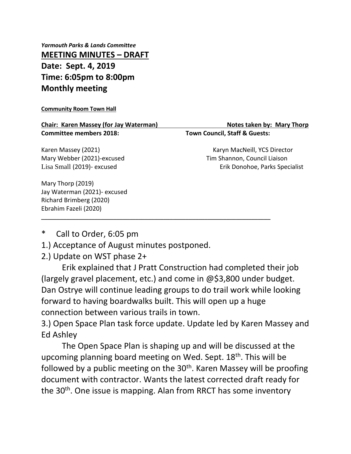*Yarmouth Parks & Lands Committee* **MEETING MINUTES – DRAFT Date: Sept. 4, 2019 Time: 6:05pm to 8:00pm Monthly meeting**

## **Community Room Town Hall**

**Chair: Karen Massey (for Jay Waterman) Notes taken by: Mary Thorp Notes taken by: Mary Thorp Committee members 2018: Town Council, Staff & Guests:**

Mary Thorp (2019)

Karen Massey (2021) Karyn MacNeill, YCS Director Mary Webber (2021)-excused Tim Shannon, Council Liaison Lisa Small (2019)- excused Erik Donohoe, Parks Specialist

Jay Waterman (2021)- excused Richard Brimberg (2020) Ebrahim Fazeli (2020) \_\_\_\_\_\_\_\_\_\_\_\_\_\_\_\_\_\_\_\_\_\_\_\_\_\_\_\_\_\_\_\_\_\_\_\_\_\_\_\_\_\_\_\_\_\_\_\_\_\_\_\_\_\_\_\_\_\_\_\_\_\_\_\_\_\_\_\_\_\_\_\_\_

Call to Order, 6:05 pm

1.) Acceptance of August minutes postponed.

2.) Update on WST phase 2+

Erik explained that J Pratt Construction had completed their job (largely gravel placement, etc.) and come in @\$3,800 under budget. Dan Ostrye will continue leading groups to do trail work while looking forward to having boardwalks built. This will open up a huge connection between various trails in town.

3.) Open Space Plan task force update. Update led by Karen Massey and Ed Ashley

The Open Space Plan is shaping up and will be discussed at the upcoming planning board meeting on Wed. Sept. 18<sup>th</sup>. This will be followed by a public meeting on the  $30<sup>th</sup>$ . Karen Massey will be proofing document with contractor. Wants the latest corrected draft ready for the 30<sup>th</sup>. One issue is mapping. Alan from RRCT has some inventory